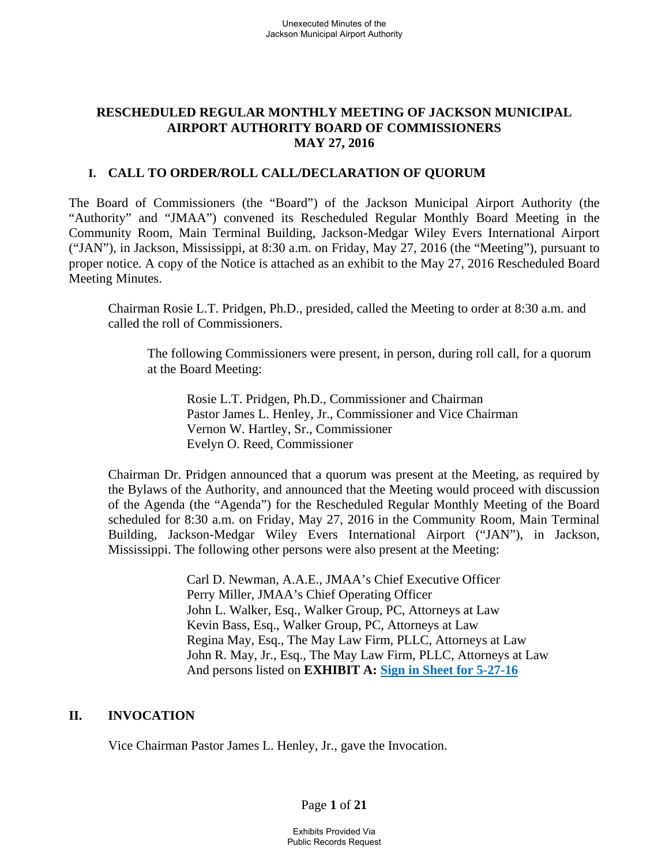# **RESCHEDULED REGULAR MONTHLY MEETING OF JACKSON MUNICIPAL AIRPORT AUTHORITY BOARD OF COMMISSIONERS MAY 27, 2016**

### **I. CALL TO ORDER/ROLL CALL/DECLARATION OF QUORUM**

The Board of Commissioners (the "Board") of the Jackson Municipal Airport Authority (the "Authority" and "JMAA") convened its Rescheduled Regular Monthly Board Meeting in the Community Room, Main Terminal Building, Jackson-Medgar Wiley Evers International Airport ("JAN"), in Jackson, Mississippi, at 8:30 a.m. on Friday, May 27, 2016 (the "Meeting"), pursuant to proper notice. A copy of the Notice is attached as an exhibit to the May 27, 2016 Rescheduled Board Meeting Minutes.

Chairman Rosie L.T. Pridgen, Ph.D., presided, called the Meeting to order at 8:30 a.m. and called the roll of Commissioners.

The following Commissioners were present, in person, during roll call, for a quorum at the Board Meeting:

 Rosie L.T. Pridgen, Ph.D., Commissioner and Chairman Pastor James L. Henley, Jr., Commissioner and Vice Chairman Vernon W. Hartley, Sr., Commissioner Evelyn O. Reed, Commissioner

Chairman Dr. Pridgen announced that a quorum was present at the Meeting, as required by the Bylaws of the Authority, and announced that the Meeting would proceed with discussion of the Agenda (the "Agenda") for the Rescheduled Regular Monthly Meeting of the Board scheduled for 8:30 a.m. on Friday, May 27, 2016 in the Community Room, Main Terminal Building, Jackson-Medgar Wiley Evers International Airport ("JAN"), in Jackson, Mississippi. The following other persons were also present at the Meeting:

> Carl D. Newman, A.A.E., JMAA's Chief Executive Officer Perry Miller, JMAA's Chief Operating Officer John L. Walker, Esq., Walker Group, PC, Attorneys at Law Kevin Bass, Esq., Walker Group, PC, Attorneys at Law Regina May, Esq., The May Law Firm, PLLC, Attorneys at Law John R. May, Jr., Esq., The May Law Firm, PLLC, Attorneys at Law And persons listed on **EXHIBIT A: Sign in Sheet for 5-27-16**

#### **II. INVOCATION**

Vice Chairman Pastor James L. Henley, Jr., gave the Invocation.

Page **1** of **21**

Exhibits Provided Via Public Records Request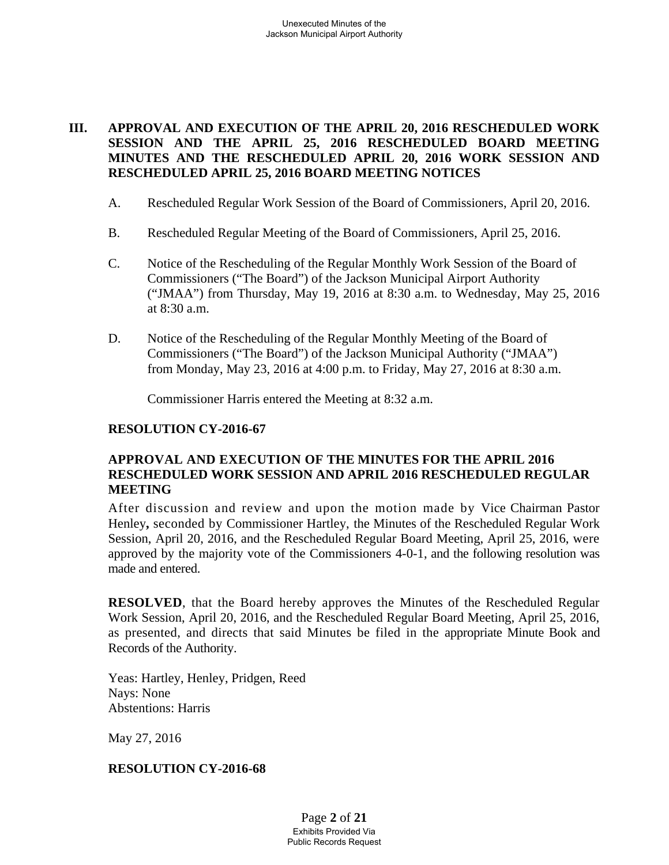# **III. APPROVAL AND EXECUTION OF THE APRIL 20, 2016 RESCHEDULED WORK SESSION AND THE APRIL 25, 2016 RESCHEDULED BOARD MEETING MINUTES AND THE RESCHEDULED APRIL 20, 2016 WORK SESSION AND RESCHEDULED APRIL 25, 2016 BOARD MEETING NOTICES**

- A. Rescheduled Regular Work Session of the Board of Commissioners, April 20, 2016.
- B. Rescheduled Regular Meeting of the Board of Commissioners, April 25, 2016.
- C. Notice of the Rescheduling of the Regular Monthly Work Session of the Board of Commissioners ("The Board") of the Jackson Municipal Airport Authority ("JMAA") from Thursday, May 19, 2016 at 8:30 a.m. to Wednesday, May 25, 2016 at 8:30 a.m.
- D. Notice of the Rescheduling of the Regular Monthly Meeting of the Board of Commissioners ("The Board") of the Jackson Municipal Authority ("JMAA") from Monday, May 23, 2016 at 4:00 p.m. to Friday, May 27, 2016 at 8:30 a.m.

Commissioner Harris entered the Meeting at 8:32 a.m.

#### **RESOLUTION CY-2016-67**

### **APPROVAL AND EXECUTION OF THE MINUTES FOR THE APRIL 2016 RESCHEDULED WORK SESSION AND APRIL 2016 RESCHEDULED REGULAR MEETING**

After discussion and review and upon the motion made by Vice Chairman Pastor Henley**,** seconded by Commissioner Hartley, the Minutes of the Rescheduled Regular Work Session, April 20, 2016, and the Rescheduled Regular Board Meeting, April 25, 2016, were approved by the majority vote of the Commissioners 4-0-1, and the following resolution was made and entered.

**RESOLVED**, that the Board hereby approves the Minutes of the Rescheduled Regular Work Session, April 20, 2016, and the Rescheduled Regular Board Meeting, April 25, 2016, as presented, and directs that said Minutes be filed in the appropriate Minute Book and Records of the Authority.

Yeas: Hartley, Henley, Pridgen, Reed Nays: None Abstentions: Harris

May 27, 2016

#### **RESOLUTION CY-2016-68**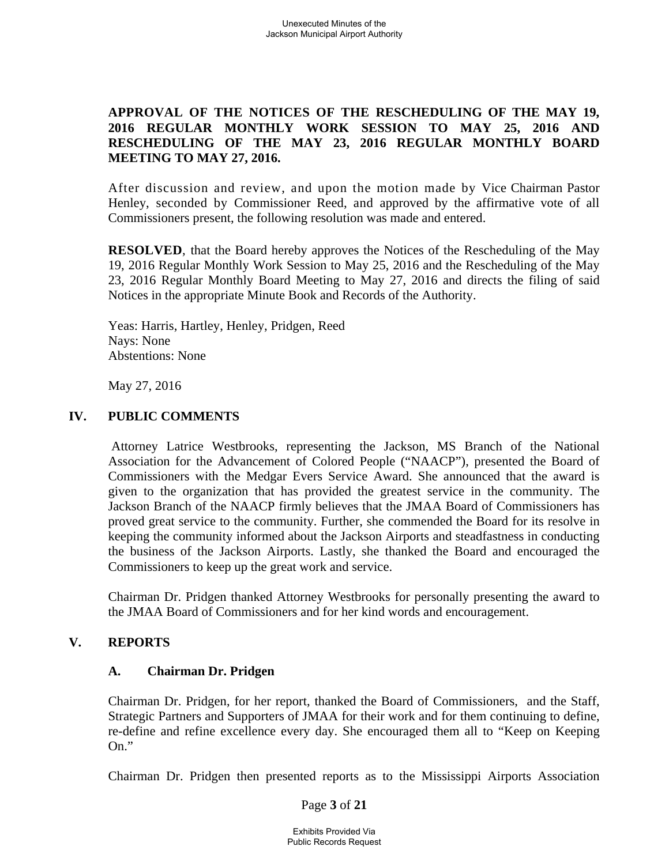# **APPROVAL OF THE NOTICES OF THE RESCHEDULING OF THE MAY 19, 2016 REGULAR MONTHLY WORK SESSION TO MAY 25, 2016 AND RESCHEDULING OF THE MAY 23, 2016 REGULAR MONTHLY BOARD MEETING TO MAY 27, 2016.**

After discussion and review, and upon the motion made by Vice Chairman Pastor Henley, seconded by Commissioner Reed, and approved by the affirmative vote of all Commissioners present, the following resolution was made and entered.

**RESOLVED**, that the Board hereby approves the Notices of the Rescheduling of the May 19, 2016 Regular Monthly Work Session to May 25, 2016 and the Rescheduling of the May 23, 2016 Regular Monthly Board Meeting to May 27, 2016 and directs the filing of said Notices in the appropriate Minute Book and Records of the Authority.

Yeas: Harris, Hartley, Henley, Pridgen, Reed Nays: None Abstentions: None

May 27, 2016

### **IV. PUBLIC COMMENTS**

 Attorney Latrice Westbrooks, representing the Jackson, MS Branch of the National Association for the Advancement of Colored People ("NAACP"), presented the Board of Commissioners with the Medgar Evers Service Award. She announced that the award is given to the organization that has provided the greatest service in the community. The Jackson Branch of the NAACP firmly believes that the JMAA Board of Commissioners has proved great service to the community. Further, she commended the Board for its resolve in keeping the community informed about the Jackson Airports and steadfastness in conducting the business of the Jackson Airports. Lastly, she thanked the Board and encouraged the Commissioners to keep up the great work and service.

Chairman Dr. Pridgen thanked Attorney Westbrooks for personally presenting the award to the JMAA Board of Commissioners and for her kind words and encouragement.

#### **V. REPORTS**

#### **A. Chairman Dr. Pridgen**

Chairman Dr. Pridgen, for her report, thanked the Board of Commissioners, and the Staff, Strategic Partners and Supporters of JMAA for their work and for them continuing to define, re-define and refine excellence every day. She encouraged them all to "Keep on Keeping On."

Chairman Dr. Pridgen then presented reports as to the Mississippi Airports Association

Page **3** of **21**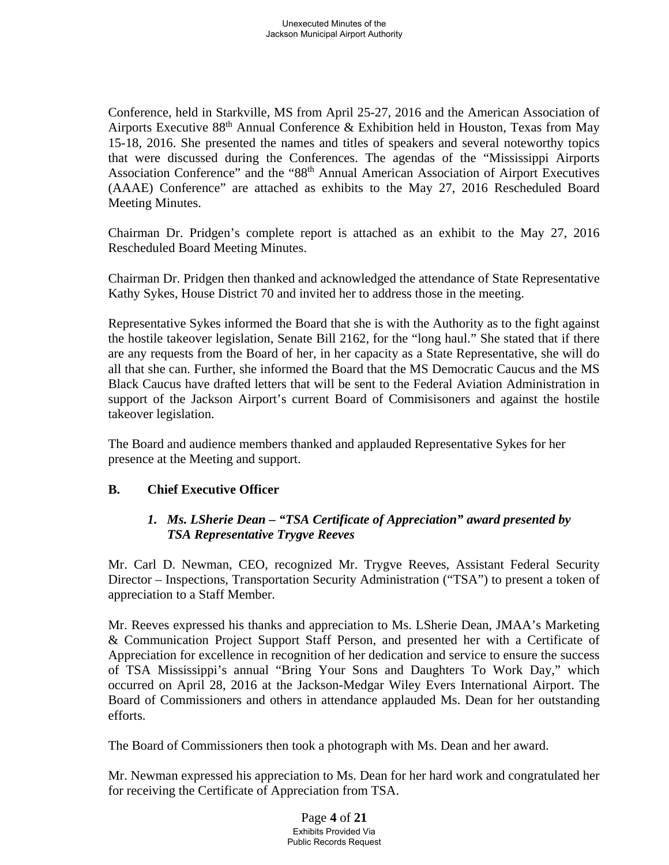Conference, held in Starkville, MS from April 25-27, 2016 and the American Association of Airports Executive 88th Annual Conference & Exhibition held in Houston, Texas from May 15-18, 2016. She presented the names and titles of speakers and several noteworthy topics that were discussed during the Conferences. The agendas of the "Mississippi Airports Association Conference" and the "88th Annual American Association of Airport Executives (AAAE) Conference" are attached as exhibits to the May 27, 2016 Rescheduled Board Meeting Minutes.

Chairman Dr. Pridgen's complete report is attached as an exhibit to the May 27, 2016 Rescheduled Board Meeting Minutes.

Chairman Dr. Pridgen then thanked and acknowledged the attendance of State Representative Kathy Sykes, House District 70 and invited her to address those in the meeting.

Representative Sykes informed the Board that she is with the Authority as to the fight against the hostile takeover legislation, Senate Bill 2162, for the "long haul." She stated that if there are any requests from the Board of her, in her capacity as a State Representative, she will do all that she can. Further, she informed the Board that the MS Democratic Caucus and the MS Black Caucus have drafted letters that will be sent to the Federal Aviation Administration in support of the Jackson Airport's current Board of Commisisoners and against the hostile takeover legislation.

The Board and audience members thanked and applauded Representative Sykes for her presence at the Meeting and support.

# **B. Chief Executive Officer**

# *1. Ms. LSherie Dean – "TSA Certificate of Appreciation" award presented by TSA Representative Trygve Reeves*

Mr. Carl D. Newman, CEO, recognized Mr. Trygve Reeves, Assistant Federal Security Director – Inspections, Transportation Security Administration ("TSA") to present a token of appreciation to a Staff Member.

Mr. Reeves expressed his thanks and appreciation to Ms. LSherie Dean, JMAA's Marketing & Communication Project Support Staff Person, and presented her with a Certificate of Appreciation for excellence in recognition of her dedication and service to ensure the success of TSA Mississippi's annual "Bring Your Sons and Daughters To Work Day," which occurred on April 28, 2016 at the Jackson-Medgar Wiley Evers International Airport. The Board of Commissioners and others in attendance applauded Ms. Dean for her outstanding efforts.

The Board of Commissioners then took a photograph with Ms. Dean and her award.

Mr. Newman expressed his appreciation to Ms. Dean for her hard work and congratulated her for receiving the Certificate of Appreciation from TSA.

> Page **4** of **21** Exhibits Provided Via Public Records Request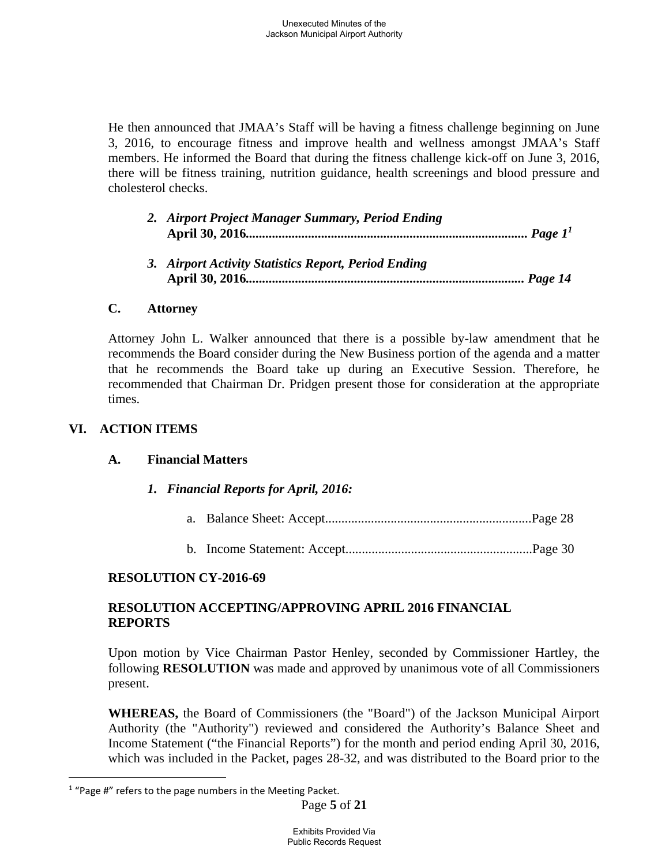He then announced that JMAA's Staff will be having a fitness challenge beginning on June 3, 2016, to encourage fitness and improve health and wellness amongst JMAA's Staff members. He informed the Board that during the fitness challenge kick-off on June 3, 2016, there will be fitness training, nutrition guidance, health screenings and blood pressure and cholesterol checks.

| 2. Airport Project Manager Summary, Period Ending    |
|------------------------------------------------------|
| 3. Airport Activity Statistics Report, Period Ending |

### **C. Attorney**

Attorney John L. Walker announced that there is a possible by-law amendment that he recommends the Board consider during the New Business portion of the agenda and a matter that he recommends the Board take up during an Executive Session. Therefore, he recommended that Chairman Dr. Pridgen present those for consideration at the appropriate times.

# **VI. ACTION ITEMS**

 $\overline{a}$ 

# **A. Financial Matters**

*1. Financial Reports for April, 2016:*

- a. Balance Sheet: Accept...............................................................Page 28
- b. Income Statement: Accept.........................................................Page 30

# **RESOLUTION CY-2016-69**

### **RESOLUTION ACCEPTING/APPROVING APRIL 2016 FINANCIAL REPORTS**

Upon motion by Vice Chairman Pastor Henley, seconded by Commissioner Hartley, the following **RESOLUTION** was made and approved by unanimous vote of all Commissioners present.

**WHEREAS,** the Board of Commissioners (the "Board") of the Jackson Municipal Airport Authority (the "Authority") reviewed and considered the Authority's Balance Sheet and Income Statement ("the Financial Reports") for the month and period ending April 30, 2016, which was included in the Packet, pages 28-32, and was distributed to the Board prior to the

<sup>1</sup> "Page #" refers to the page numbers in the Meeting Packet.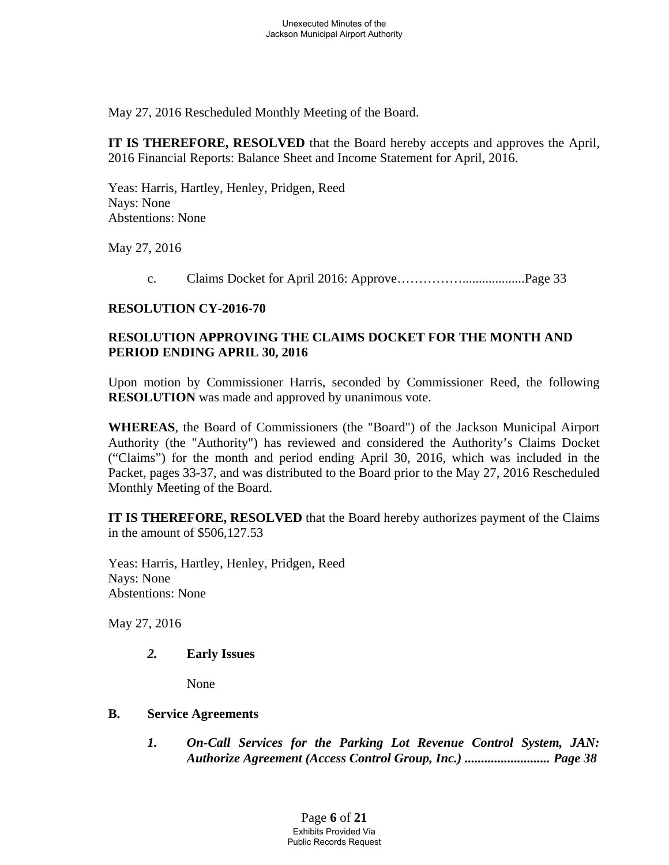May 27, 2016 Rescheduled Monthly Meeting of the Board.

**IT IS THEREFORE, RESOLVED** that the Board hereby accepts and approves the April, 2016 Financial Reports: Balance Sheet and Income Statement for April, 2016.

Yeas: Harris, Hartley, Henley, Pridgen, Reed Nays: None Abstentions: None

May 27, 2016

c. Claims Docket for April 2016: Approve……………...................Page 33

# **RESOLUTION CY-2016-70**

# **RESOLUTION APPROVING THE CLAIMS DOCKET FOR THE MONTH AND PERIOD ENDING APRIL 30, 2016**

Upon motion by Commissioner Harris, seconded by Commissioner Reed, the following **RESOLUTION** was made and approved by unanimous vote.

**WHEREAS**, the Board of Commissioners (the "Board") of the Jackson Municipal Airport Authority (the "Authority") has reviewed and considered the Authority's Claims Docket ("Claims") for the month and period ending April 30, 2016, which was included in the Packet, pages 33-37, and was distributed to the Board prior to the May 27, 2016 Rescheduled Monthly Meeting of the Board.

**IT IS THEREFORE, RESOLVED** that the Board hereby authorizes payment of the Claims in the amount of \$506,127.53

Yeas: Harris, Hartley, Henley, Pridgen, Reed Nays: None Abstentions: None

May 27, 2016

*2.* **Early Issues** 

None

# **B. Service Agreements**

*1. On-Call Services for the Parking Lot Revenue Control System, JAN: Authorize Agreement (Access Control Group, Inc.) .......................... Page 38* 

> Page **6** of **21** Exhibits Provided Via Public Records Request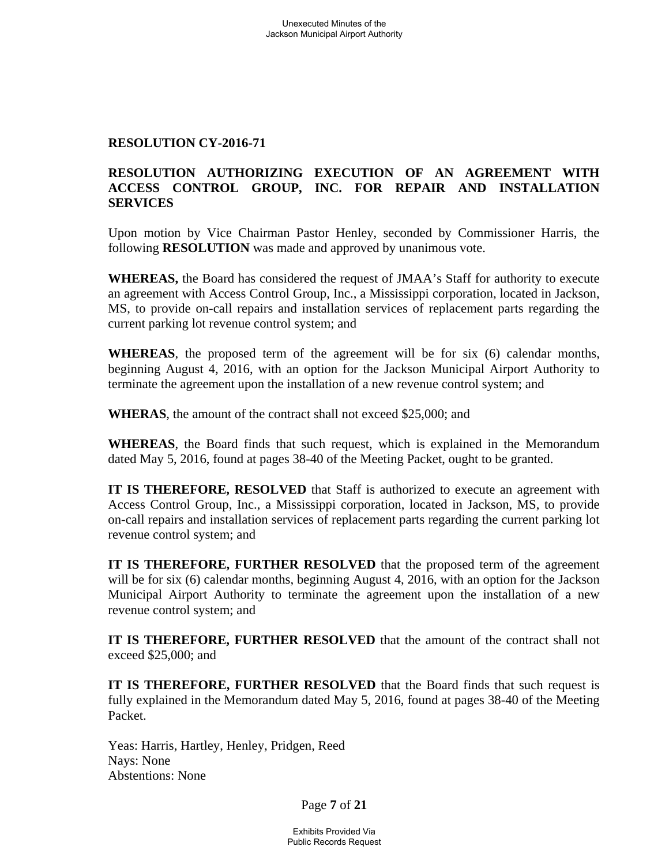#### **RESOLUTION CY-2016-71**

# **RESOLUTION AUTHORIZING EXECUTION OF AN AGREEMENT WITH ACCESS CONTROL GROUP, INC. FOR REPAIR AND INSTALLATION SERVICES**

Upon motion by Vice Chairman Pastor Henley, seconded by Commissioner Harris, the following **RESOLUTION** was made and approved by unanimous vote.

**WHEREAS,** the Board has considered the request of JMAA's Staff for authority to execute an agreement with Access Control Group, Inc., a Mississippi corporation, located in Jackson, MS, to provide on-call repairs and installation services of replacement parts regarding the current parking lot revenue control system; and

**WHEREAS**, the proposed term of the agreement will be for six (6) calendar months, beginning August 4, 2016, with an option for the Jackson Municipal Airport Authority to terminate the agreement upon the installation of a new revenue control system; and

**WHERAS**, the amount of the contract shall not exceed \$25,000; and

**WHEREAS**, the Board finds that such request, which is explained in the Memorandum dated May 5, 2016, found at pages 38-40 of the Meeting Packet, ought to be granted.

**IT IS THEREFORE, RESOLVED** that Staff is authorized to execute an agreement with Access Control Group, Inc., a Mississippi corporation, located in Jackson, MS, to provide on-call repairs and installation services of replacement parts regarding the current parking lot revenue control system; and

**IT IS THEREFORE, FURTHER RESOLVED** that the proposed term of the agreement will be for six (6) calendar months, beginning August 4, 2016, with an option for the Jackson Municipal Airport Authority to terminate the agreement upon the installation of a new revenue control system; and

**IT IS THEREFORE, FURTHER RESOLVED** that the amount of the contract shall not exceed \$25,000; and

**IT IS THEREFORE, FURTHER RESOLVED** that the Board finds that such request is fully explained in the Memorandum dated May 5, 2016, found at pages 38-40 of the Meeting Packet.

Yeas: Harris, Hartley, Henley, Pridgen, Reed Nays: None Abstentions: None

Page **7** of **21**

Exhibits Provided Via Public Records Request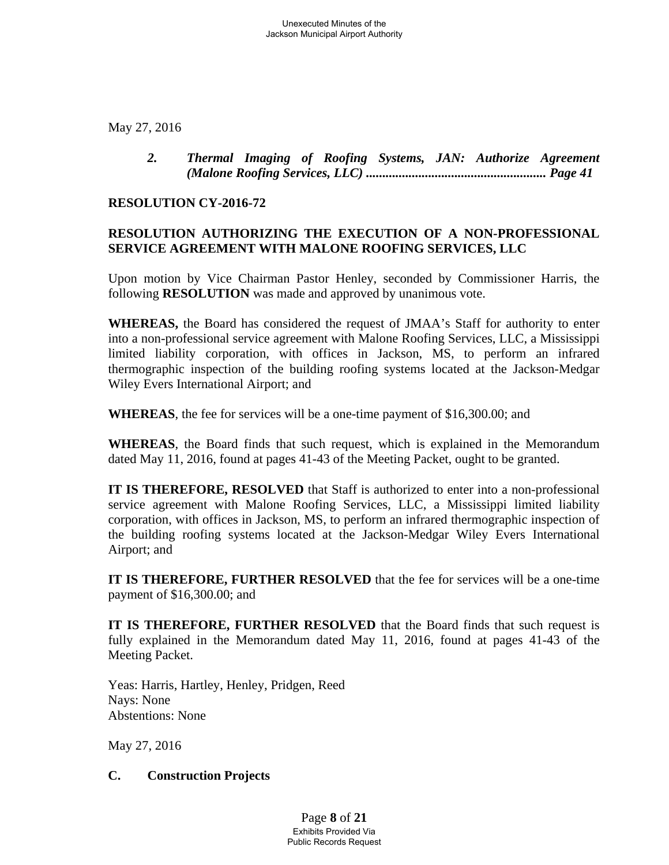May 27, 2016

*2. Thermal Imaging of Roofing Systems, JAN: Authorize Agreement (Malone Roofing Services, LLC) ....................................................... Page 41* 

#### **RESOLUTION CY-2016-72**

# **RESOLUTION AUTHORIZING THE EXECUTION OF A NON-PROFESSIONAL SERVICE AGREEMENT WITH MALONE ROOFING SERVICES, LLC**

Upon motion by Vice Chairman Pastor Henley, seconded by Commissioner Harris, the following **RESOLUTION** was made and approved by unanimous vote.

**WHEREAS,** the Board has considered the request of JMAA's Staff for authority to enter into a non-professional service agreement with Malone Roofing Services, LLC, a Mississippi limited liability corporation, with offices in Jackson, MS, to perform an infrared thermographic inspection of the building roofing systems located at the Jackson-Medgar Wiley Evers International Airport; and

**WHEREAS**, the fee for services will be a one-time payment of \$16,300.00; and

**WHEREAS**, the Board finds that such request, which is explained in the Memorandum dated May 11, 2016, found at pages 41-43 of the Meeting Packet, ought to be granted.

**IT IS THEREFORE, RESOLVED** that Staff is authorized to enter into a non-professional service agreement with Malone Roofing Services, LLC, a Mississippi limited liability corporation, with offices in Jackson, MS, to perform an infrared thermographic inspection of the building roofing systems located at the Jackson-Medgar Wiley Evers International Airport; and

**IT IS THEREFORE, FURTHER RESOLVED** that the fee for services will be a one-time payment of \$16,300.00; and

**IT IS THEREFORE, FURTHER RESOLVED** that the Board finds that such request is fully explained in the Memorandum dated May 11, 2016, found at pages 41-43 of the Meeting Packet.

Yeas: Harris, Hartley, Henley, Pridgen, Reed Nays: None Abstentions: None

May 27, 2016

# **C. Construction Projects**

Page **8** of **21** Exhibits Provided Via Public Records Request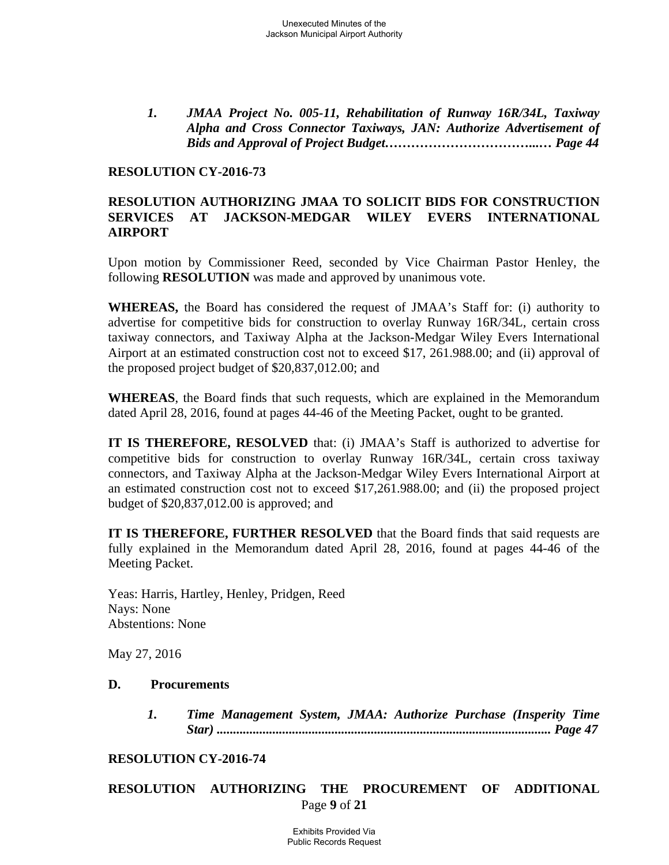*1. JMAA Project No. 005-11, Rehabilitation of Runway 16R/34L, Taxiway Alpha and Cross Connector Taxiways, JAN: Authorize Advertisement of Bids and Approval of Project Budget……………………………...… Page 44* 

#### **RESOLUTION CY-2016-73**

### **RESOLUTION AUTHORIZING JMAA TO SOLICIT BIDS FOR CONSTRUCTION SERVICES AT JACKSON-MEDGAR WILEY EVERS INTERNATIONAL AIRPORT**

Upon motion by Commissioner Reed, seconded by Vice Chairman Pastor Henley, the following **RESOLUTION** was made and approved by unanimous vote.

**WHEREAS,** the Board has considered the request of JMAA's Staff for: (i) authority to advertise for competitive bids for construction to overlay Runway 16R/34L, certain cross taxiway connectors, and Taxiway Alpha at the Jackson-Medgar Wiley Evers International Airport at an estimated construction cost not to exceed \$17, 261.988.00; and (ii) approval of the proposed project budget of \$20,837,012.00; and

**WHEREAS**, the Board finds that such requests, which are explained in the Memorandum dated April 28, 2016, found at pages 44-46 of the Meeting Packet, ought to be granted.

**IT IS THEREFORE, RESOLVED** that: (i) JMAA's Staff is authorized to advertise for competitive bids for construction to overlay Runway 16R/34L, certain cross taxiway connectors, and Taxiway Alpha at the Jackson-Medgar Wiley Evers International Airport at an estimated construction cost not to exceed \$17,261.988.00; and (ii) the proposed project budget of \$20,837,012.00 is approved; and

**IT IS THEREFORE, FURTHER RESOLVED** that the Board finds that said requests are fully explained in the Memorandum dated April 28, 2016, found at pages 44-46 of the Meeting Packet.

Yeas: Harris, Hartley, Henley, Pridgen, Reed Nays: None Abstentions: None

May 27, 2016

#### **D. Procurements**

*1. Time Management System, JMAA: Authorize Purchase (Insperity Time Star) ...................................................................................................... Page 47* 

#### **RESOLUTION CY-2016-74**

#### Page **9** of **21 RESOLUTION AUTHORIZING THE PROCUREMENT OF ADDITIONAL**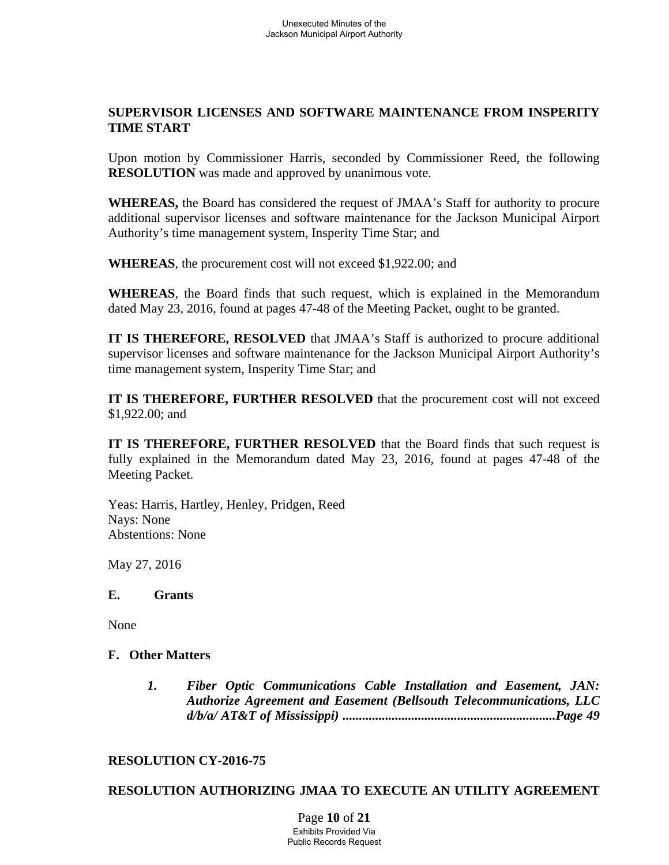### **SUPERVISOR LICENSES AND SOFTWARE MAINTENANCE FROM INSPERITY TIME START**

Upon motion by Commissioner Harris, seconded by Commissioner Reed, the following **RESOLUTION** was made and approved by unanimous vote.

**WHEREAS,** the Board has considered the request of JMAA's Staff for authority to procure additional supervisor licenses and software maintenance for the Jackson Municipal Airport Authority's time management system, Insperity Time Star; and

**WHEREAS**, the procurement cost will not exceed \$1,922.00; and

**WHEREAS**, the Board finds that such request, which is explained in the Memorandum dated May 23, 2016, found at pages 47-48 of the Meeting Packet, ought to be granted.

**IT IS THEREFORE, RESOLVED** that JMAA's Staff is authorized to procure additional supervisor licenses and software maintenance for the Jackson Municipal Airport Authority's time management system, Insperity Time Star; and

**IT IS THEREFORE, FURTHER RESOLVED** that the procurement cost will not exceed \$1,922.00; and

**IT IS THEREFORE, FURTHER RESOLVED** that the Board finds that such request is fully explained in the Memorandum dated May 23, 2016, found at pages 47-48 of the Meeting Packet.

Yeas: Harris, Hartley, Henley, Pridgen, Reed Nays: None Abstentions: None

May 27, 2016

#### **E. Grants**

None

# **F. Other Matters**

*1. Fiber Optic Communications Cable Installation and Easement, JAN: Authorize Agreement and Easement (Bellsouth Telecommunications, LLC d/b/a/ AT&T of Mississippi) .................................................................Page 49*

#### **RESOLUTION CY-2016-75**

# **RESOLUTION AUTHORIZING JMAA TO EXECUTE AN UTILITY AGREEMENT**

Page **10** of **21** Exhibits Provided Via Public Records Request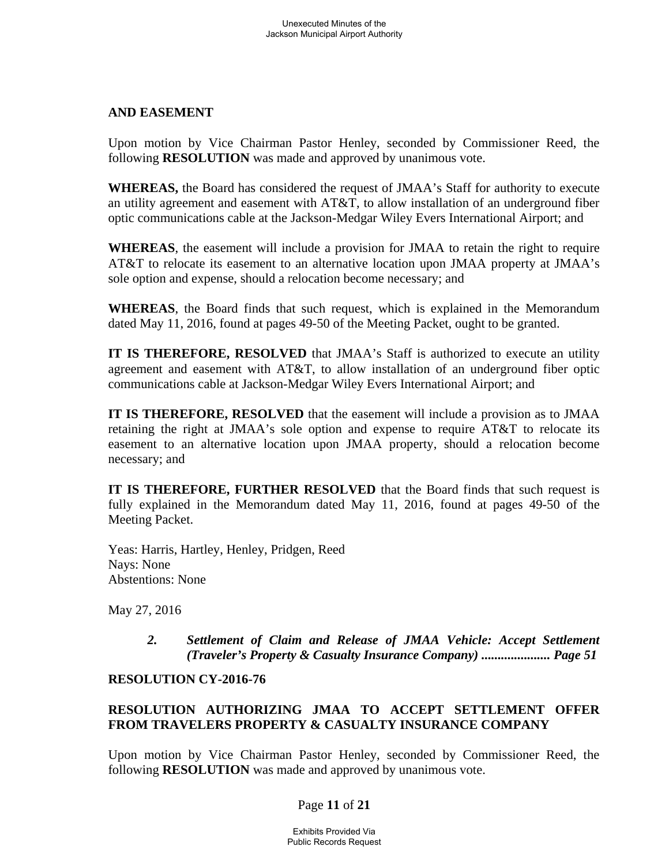### **AND EASEMENT**

Upon motion by Vice Chairman Pastor Henley, seconded by Commissioner Reed, the following **RESOLUTION** was made and approved by unanimous vote.

**WHEREAS,** the Board has considered the request of JMAA's Staff for authority to execute an utility agreement and easement with AT&T, to allow installation of an underground fiber optic communications cable at the Jackson-Medgar Wiley Evers International Airport; and

**WHEREAS**, the easement will include a provision for JMAA to retain the right to require AT&T to relocate its easement to an alternative location upon JMAA property at JMAA's sole option and expense, should a relocation become necessary; and

**WHEREAS**, the Board finds that such request, which is explained in the Memorandum dated May 11, 2016, found at pages 49-50 of the Meeting Packet, ought to be granted.

**IT IS THEREFORE, RESOLVED** that JMAA's Staff is authorized to execute an utility agreement and easement with AT&T, to allow installation of an underground fiber optic communications cable at Jackson-Medgar Wiley Evers International Airport; and

**IT IS THEREFORE, RESOLVED** that the easement will include a provision as to JMAA retaining the right at JMAA's sole option and expense to require AT&T to relocate its easement to an alternative location upon JMAA property, should a relocation become necessary; and

**IT IS THEREFORE, FURTHER RESOLVED** that the Board finds that such request is fully explained in the Memorandum dated May 11, 2016, found at pages 49-50 of the Meeting Packet.

Yeas: Harris, Hartley, Henley, Pridgen, Reed Nays: None Abstentions: None

May 27, 2016

2. Settlement of Claim and Release of JMAA Vehicle: Accept Settlement *(Traveler's Property & Casualty Insurance Company) ..................... Page 51* 

### **RESOLUTION CY-2016-76**

# **RESOLUTION AUTHORIZING JMAA TO ACCEPT SETTLEMENT OFFER FROM TRAVELERS PROPERTY & CASUALTY INSURANCE COMPANY**

Upon motion by Vice Chairman Pastor Henley, seconded by Commissioner Reed, the following **RESOLUTION** was made and approved by unanimous vote.

# Page **11** of **21**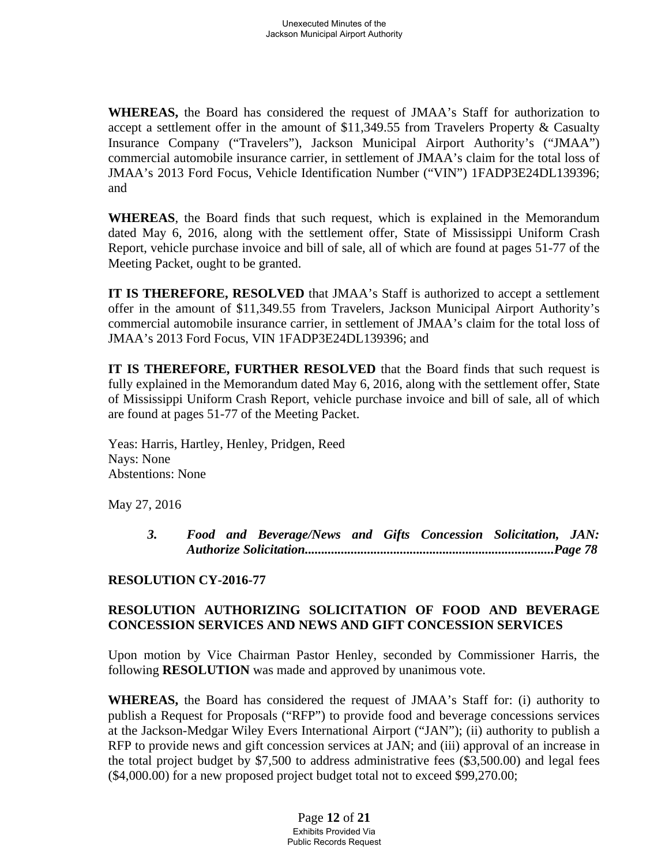**WHEREAS,** the Board has considered the request of JMAA's Staff for authorization to accept a settlement offer in the amount of \$11,349.55 from Travelers Property & Casualty Insurance Company ("Travelers"), Jackson Municipal Airport Authority's ("JMAA") commercial automobile insurance carrier, in settlement of JMAA's claim for the total loss of JMAA's 2013 Ford Focus, Vehicle Identification Number ("VIN") 1FADP3E24DL139396; and

**WHEREAS**, the Board finds that such request, which is explained in the Memorandum dated May 6, 2016, along with the settlement offer, State of Mississippi Uniform Crash Report, vehicle purchase invoice and bill of sale, all of which are found at pages 51-77 of the Meeting Packet, ought to be granted.

**IT IS THEREFORE, RESOLVED** that JMAA's Staff is authorized to accept a settlement offer in the amount of \$11,349.55 from Travelers, Jackson Municipal Airport Authority's commercial automobile insurance carrier, in settlement of JMAA's claim for the total loss of JMAA's 2013 Ford Focus, VIN 1FADP3E24DL139396; and

**IT IS THEREFORE, FURTHER RESOLVED** that the Board finds that such request is fully explained in the Memorandum dated May 6, 2016, along with the settlement offer, State of Mississippi Uniform Crash Report, vehicle purchase invoice and bill of sale, all of which are found at pages 51-77 of the Meeting Packet.

Yeas: Harris, Hartley, Henley, Pridgen, Reed Nays: None Abstentions: None

May 27, 2016

*3. Food and Beverage/News and Gifts Concession Solicitation, JAN: Authorize Solicitation............................................................................Page 78* 

# **RESOLUTION CY-2016-77**

# **RESOLUTION AUTHORIZING SOLICITATION OF FOOD AND BEVERAGE CONCESSION SERVICES AND NEWS AND GIFT CONCESSION SERVICES**

Upon motion by Vice Chairman Pastor Henley, seconded by Commissioner Harris, the following **RESOLUTION** was made and approved by unanimous vote.

**WHEREAS,** the Board has considered the request of JMAA's Staff for: (i) authority to publish a Request for Proposals ("RFP") to provide food and beverage concessions services at the Jackson-Medgar Wiley Evers International Airport ("JAN"); (ii) authority to publish a RFP to provide news and gift concession services at JAN; and (iii) approval of an increase in the total project budget by \$7,500 to address administrative fees (\$3,500.00) and legal fees (\$4,000.00) for a new proposed project budget total not to exceed \$99,270.00;

> Page **12** of **21** Exhibits Provided Via Public Records Request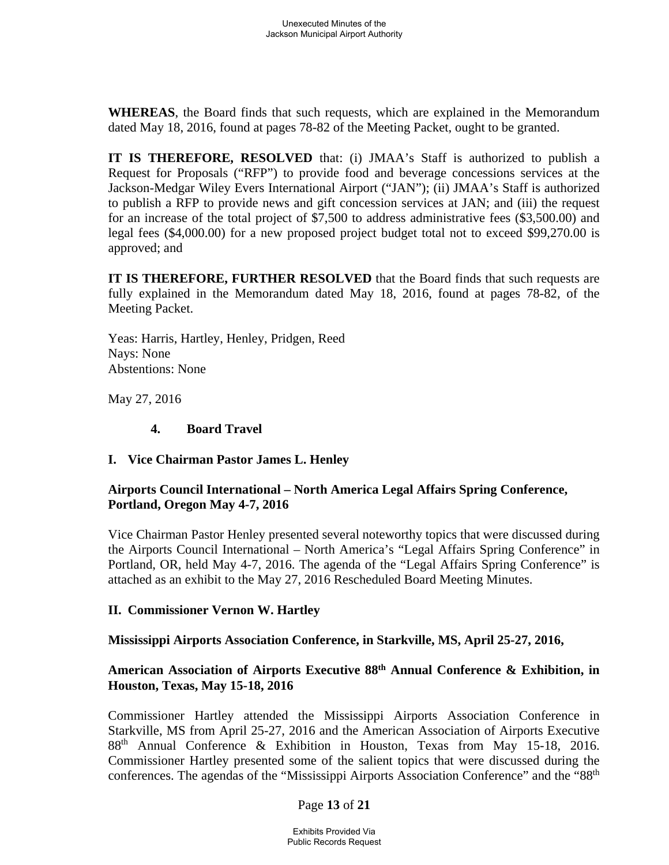**WHEREAS**, the Board finds that such requests, which are explained in the Memorandum dated May 18, 2016, found at pages 78-82 of the Meeting Packet, ought to be granted.

**IT IS THEREFORE, RESOLVED** that: (i) JMAA's Staff is authorized to publish a Request for Proposals ("RFP") to provide food and beverage concessions services at the Jackson-Medgar Wiley Evers International Airport ("JAN"); (ii) JMAA's Staff is authorized to publish a RFP to provide news and gift concession services at JAN; and (iii) the request for an increase of the total project of \$7,500 to address administrative fees (\$3,500.00) and legal fees (\$4,000.00) for a new proposed project budget total not to exceed \$99,270.00 is approved; and

**IT IS THEREFORE, FURTHER RESOLVED** that the Board finds that such requests are fully explained in the Memorandum dated May 18, 2016, found at pages 78-82, of the Meeting Packet.

Yeas: Harris, Hartley, Henley, Pridgen, Reed Nays: None Abstentions: None

May 27, 2016

### **4. Board Travel**

# **I. Vice Chairman Pastor James L. Henley**

### **Airports Council International – North America Legal Affairs Spring Conference, Portland, Oregon May 4-7, 2016**

Vice Chairman Pastor Henley presented several noteworthy topics that were discussed during the Airports Council International – North America's "Legal Affairs Spring Conference" in Portland, OR, held May 4-7, 2016. The agenda of the "Legal Affairs Spring Conference" is attached as an exhibit to the May 27, 2016 Rescheduled Board Meeting Minutes.

# **II. Commissioner Vernon W. Hartley**

# **Mississippi Airports Association Conference, in Starkville, MS, April 25-27, 2016,**

# **American Association of Airports Executive 88th Annual Conference & Exhibition, in Houston, Texas, May 15-18, 2016**

Commissioner Hartley attended the Mississippi Airports Association Conference in Starkville, MS from April 25-27, 2016 and the American Association of Airports Executive 88th Annual Conference & Exhibition in Houston, Texas from May 15-18, 2016. Commissioner Hartley presented some of the salient topics that were discussed during the conferences. The agendas of the "Mississippi Airports Association Conference" and the "88<sup>th</sup>

#### Page **13** of **21**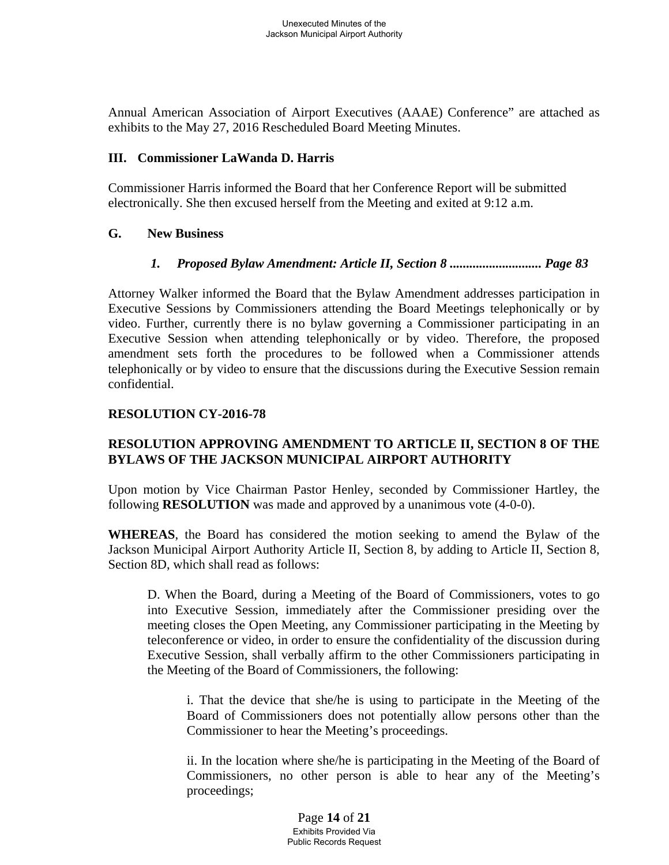Annual American Association of Airport Executives (AAAE) Conference" are attached as exhibits to the May 27, 2016 Rescheduled Board Meeting Minutes.

#### **III. Commissioner LaWanda D. Harris**

Commissioner Harris informed the Board that her Conference Report will be submitted electronically. She then excused herself from the Meeting and exited at 9:12 a.m.

### **G. New Business**

# *1. Proposed Bylaw Amendment: Article II, Section 8 ............................ Page 83*

Attorney Walker informed the Board that the Bylaw Amendment addresses participation in Executive Sessions by Commissioners attending the Board Meetings telephonically or by video. Further, currently there is no bylaw governing a Commissioner participating in an Executive Session when attending telephonically or by video. Therefore, the proposed amendment sets forth the procedures to be followed when a Commissioner attends telephonically or by video to ensure that the discussions during the Executive Session remain confidential.

# **RESOLUTION CY-2016-78**

# **RESOLUTION APPROVING AMENDMENT TO ARTICLE II, SECTION 8 OF THE BYLAWS OF THE JACKSON MUNICIPAL AIRPORT AUTHORITY**

Upon motion by Vice Chairman Pastor Henley, seconded by Commissioner Hartley, the following **RESOLUTION** was made and approved by a unanimous vote (4-0-0).

**WHEREAS**, the Board has considered the motion seeking to amend the Bylaw of the Jackson Municipal Airport Authority Article II, Section 8, by adding to Article II, Section 8, Section 8D, which shall read as follows:

D. When the Board, during a Meeting of the Board of Commissioners, votes to go into Executive Session, immediately after the Commissioner presiding over the meeting closes the Open Meeting, any Commissioner participating in the Meeting by teleconference or video, in order to ensure the confidentiality of the discussion during Executive Session, shall verbally affirm to the other Commissioners participating in the Meeting of the Board of Commissioners, the following:

i. That the device that she/he is using to participate in the Meeting of the Board of Commissioners does not potentially allow persons other than the Commissioner to hear the Meeting's proceedings.

ii. In the location where she/he is participating in the Meeting of the Board of Commissioners, no other person is able to hear any of the Meeting's proceedings;

> Page **14** of **21** Exhibits Provided Via Public Records Request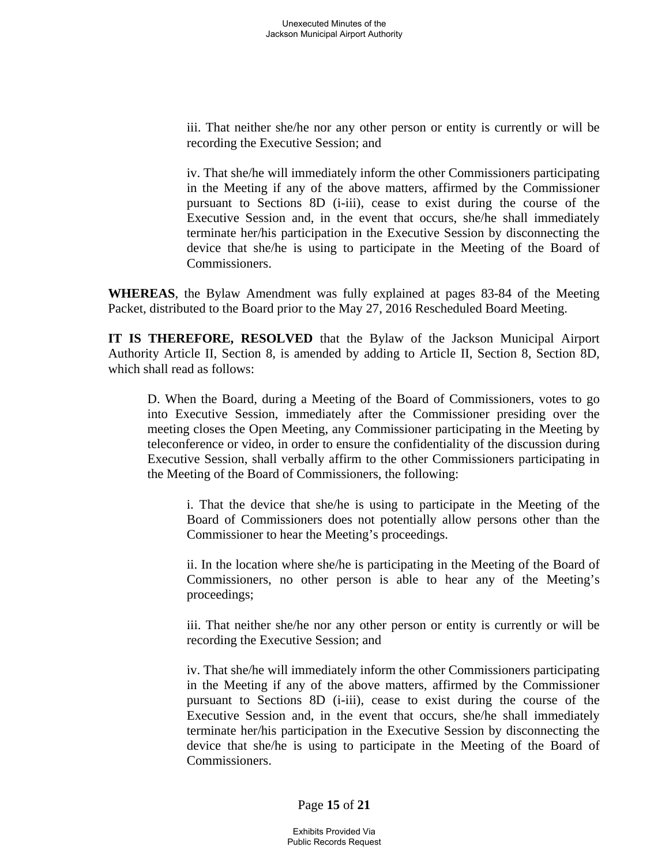iii. That neither she/he nor any other person or entity is currently or will be recording the Executive Session; and

iv. That she/he will immediately inform the other Commissioners participating in the Meeting if any of the above matters, affirmed by the Commissioner pursuant to Sections 8D (i-iii), cease to exist during the course of the Executive Session and, in the event that occurs, she/he shall immediately terminate her/his participation in the Executive Session by disconnecting the device that she/he is using to participate in the Meeting of the Board of Commissioners.

**WHEREAS**, the Bylaw Amendment was fully explained at pages 83-84 of the Meeting Packet, distributed to the Board prior to the May 27, 2016 Rescheduled Board Meeting.

**IT IS THEREFORE, RESOLVED** that the Bylaw of the Jackson Municipal Airport Authority Article II, Section 8, is amended by adding to Article II, Section 8, Section 8D, which shall read as follows:

D. When the Board, during a Meeting of the Board of Commissioners, votes to go into Executive Session, immediately after the Commissioner presiding over the meeting closes the Open Meeting, any Commissioner participating in the Meeting by teleconference or video, in order to ensure the confidentiality of the discussion during Executive Session, shall verbally affirm to the other Commissioners participating in the Meeting of the Board of Commissioners, the following:

i. That the device that she/he is using to participate in the Meeting of the Board of Commissioners does not potentially allow persons other than the Commissioner to hear the Meeting's proceedings.

ii. In the location where she/he is participating in the Meeting of the Board of Commissioners, no other person is able to hear any of the Meeting's proceedings;

iii. That neither she/he nor any other person or entity is currently or will be recording the Executive Session; and

iv. That she/he will immediately inform the other Commissioners participating in the Meeting if any of the above matters, affirmed by the Commissioner pursuant to Sections 8D (i-iii), cease to exist during the course of the Executive Session and, in the event that occurs, she/he shall immediately terminate her/his participation in the Executive Session by disconnecting the device that she/he is using to participate in the Meeting of the Board of Commissioners.

Page **15** of **21**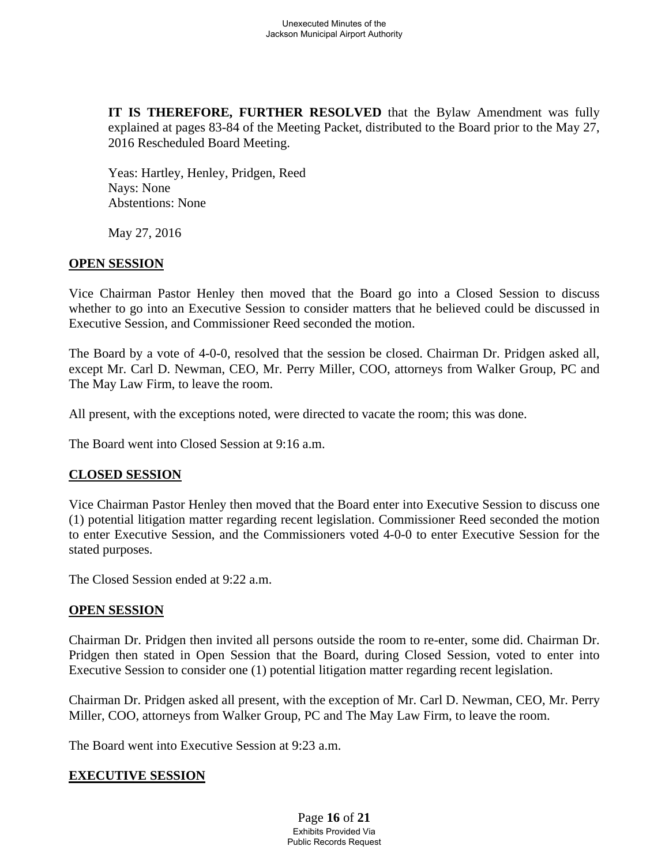**IT IS THEREFORE, FURTHER RESOLVED** that the Bylaw Amendment was fully explained at pages 83-84 of the Meeting Packet, distributed to the Board prior to the May 27, 2016 Rescheduled Board Meeting.

Yeas: Hartley, Henley, Pridgen, Reed Nays: None Abstentions: None

May 27, 2016

### **OPEN SESSION**

Vice Chairman Pastor Henley then moved that the Board go into a Closed Session to discuss whether to go into an Executive Session to consider matters that he believed could be discussed in Executive Session, and Commissioner Reed seconded the motion.

The Board by a vote of 4-0-0, resolved that the session be closed. Chairman Dr. Pridgen asked all, except Mr. Carl D. Newman, CEO, Mr. Perry Miller, COO, attorneys from Walker Group, PC and The May Law Firm, to leave the room.

All present, with the exceptions noted, were directed to vacate the room; this was done.

The Board went into Closed Session at 9:16 a.m.

#### **CLOSED SESSION**

Vice Chairman Pastor Henley then moved that the Board enter into Executive Session to discuss one (1) potential litigation matter regarding recent legislation. Commissioner Reed seconded the motion to enter Executive Session, and the Commissioners voted 4-0-0 to enter Executive Session for the stated purposes.

The Closed Session ended at 9:22 a.m.

#### **OPEN SESSION**

Chairman Dr. Pridgen then invited all persons outside the room to re-enter, some did. Chairman Dr. Pridgen then stated in Open Session that the Board, during Closed Session, voted to enter into Executive Session to consider one (1) potential litigation matter regarding recent legislation.

Chairman Dr. Pridgen asked all present, with the exception of Mr. Carl D. Newman, CEO, Mr. Perry Miller, COO, attorneys from Walker Group, PC and The May Law Firm, to leave the room.

The Board went into Executive Session at 9:23 a.m.

#### **EXECUTIVE SESSION**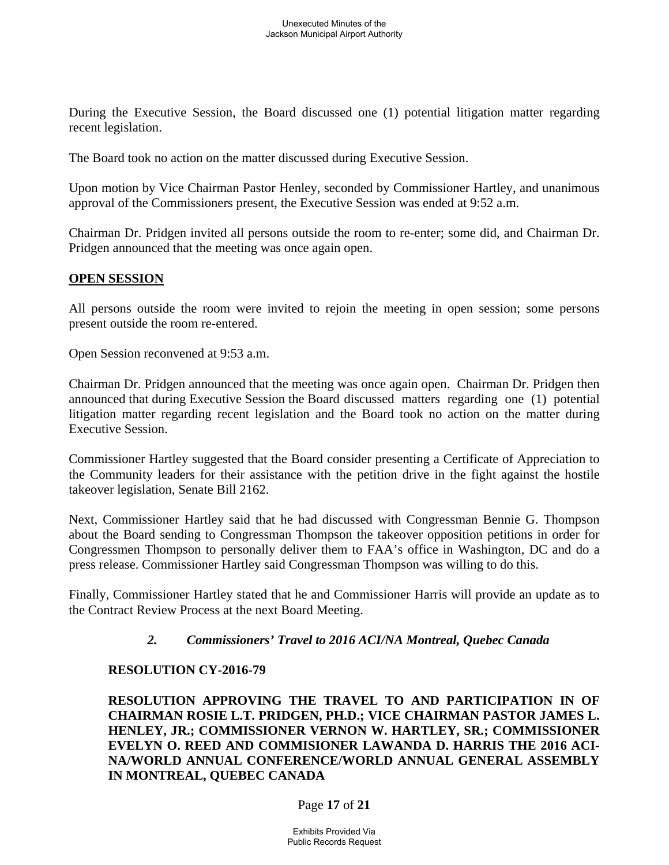During the Executive Session, the Board discussed one (1) potential litigation matter regarding recent legislation.

The Board took no action on the matter discussed during Executive Session.

Upon motion by Vice Chairman Pastor Henley, seconded by Commissioner Hartley, and unanimous approval of the Commissioners present, the Executive Session was ended at 9:52 a.m.

Chairman Dr. Pridgen invited all persons outside the room to re-enter; some did, and Chairman Dr. Pridgen announced that the meeting was once again open.

### **OPEN SESSION**

All persons outside the room were invited to rejoin the meeting in open session; some persons present outside the room re-entered.

Open Session reconvened at 9:53 a.m.

Chairman Dr. Pridgen announced that the meeting was once again open. Chairman Dr. Pridgen then announced that during Executive Session the Board discussed matters regarding one (1) potential litigation matter regarding recent legislation and the Board took no action on the matter during Executive Session.

Commissioner Hartley suggested that the Board consider presenting a Certificate of Appreciation to the Community leaders for their assistance with the petition drive in the fight against the hostile takeover legislation, Senate Bill 2162.

Next, Commissioner Hartley said that he had discussed with Congressman Bennie G. Thompson about the Board sending to Congressman Thompson the takeover opposition petitions in order for Congressmen Thompson to personally deliver them to FAA's office in Washington, DC and do a press release. Commissioner Hartley said Congressman Thompson was willing to do this.

Finally, Commissioner Hartley stated that he and Commissioner Harris will provide an update as to the Contract Review Process at the next Board Meeting.

# *2. Commissioners' Travel to 2016 ACI/NA Montreal, Quebec Canada*

#### **RESOLUTION CY-2016-79**

**RESOLUTION APPROVING THE TRAVEL TO AND PARTICIPATION IN OF CHAIRMAN ROSIE L.T. PRIDGEN, PH.D.; VICE CHAIRMAN PASTOR JAMES L. HENLEY, JR.; COMMISSIONER VERNON W. HARTLEY, SR.; COMMISSIONER EVELYN O. REED AND COMMISIONER LAWANDA D. HARRIS THE 2016 ACI-NA/WORLD ANNUAL CONFERENCE/WORLD ANNUAL GENERAL ASSEMBLY IN MONTREAL, QUEBEC CANADA** 

Page **17** of **21**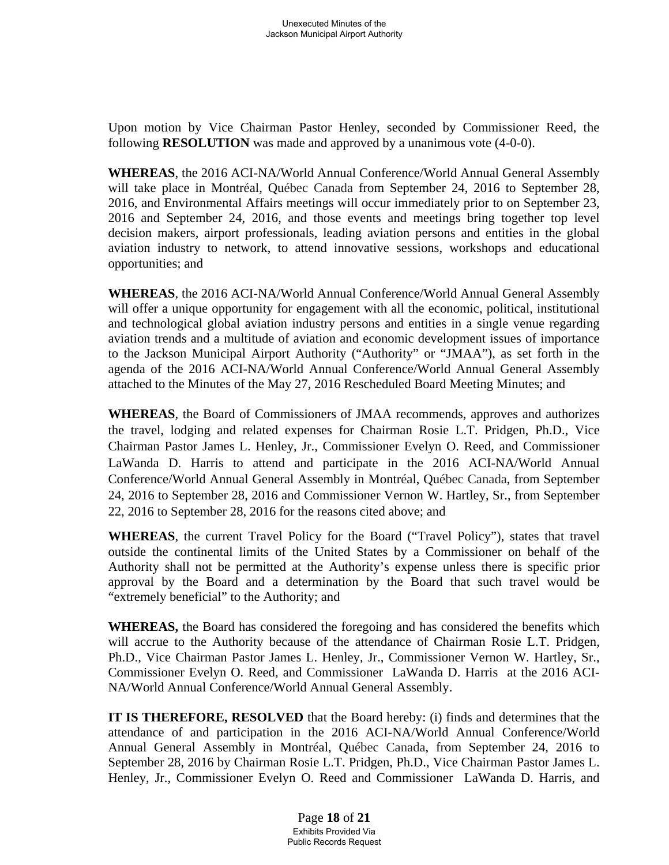Upon motion by Vice Chairman Pastor Henley, seconded by Commissioner Reed, the following **RESOLUTION** was made and approved by a unanimous vote (4-0-0).

**WHEREAS**, the 2016 ACI-NA/World Annual Conference/World Annual General Assembly will take place in Montréal, Québec Canada from September 24, 2016 to September 28, 2016, and Environmental Affairs meetings will occur immediately prior to on September 23, 2016 and September 24, 2016, and those events and meetings bring together top level decision makers, airport professionals, leading aviation persons and entities in the global aviation industry to network, to attend innovative sessions, workshops and educational opportunities; and

**WHEREAS**, the 2016 ACI-NA/World Annual Conference/World Annual General Assembly will offer a unique opportunity for engagement with all the economic, political, institutional and technological global aviation industry persons and entities in a single venue regarding aviation trends and a multitude of aviation and economic development issues of importance to the Jackson Municipal Airport Authority ("Authority" or "JMAA"), as set forth in the agenda of the 2016 ACI-NA/World Annual Conference/World Annual General Assembly attached to the Minutes of the May 27, 2016 Rescheduled Board Meeting Minutes; and

**WHEREAS**, the Board of Commissioners of JMAA recommends, approves and authorizes the travel, lodging and related expenses for Chairman Rosie L.T. Pridgen, Ph.D., Vice Chairman Pastor James L. Henley, Jr., Commissioner Evelyn O. Reed, and Commissioner LaWanda D. Harris to attend and participate in the 2016 ACI-NA/World Annual Conference/World Annual General Assembly in Montréal, Québec Canada, from September 24, 2016 to September 28, 2016 and Commissioner Vernon W. Hartley, Sr., from September 22, 2016 to September 28, 2016 for the reasons cited above; and

**WHEREAS**, the current Travel Policy for the Board ("Travel Policy"), states that travel outside the continental limits of the United States by a Commissioner on behalf of the Authority shall not be permitted at the Authority's expense unless there is specific prior approval by the Board and a determination by the Board that such travel would be "extremely beneficial" to the Authority; and

**WHEREAS,** the Board has considered the foregoing and has considered the benefits which will accrue to the Authority because of the attendance of Chairman Rosie L.T. Pridgen, Ph.D., Vice Chairman Pastor James L. Henley, Jr., Commissioner Vernon W. Hartley, Sr., Commissioner Evelyn O. Reed, and Commissioner LaWanda D. Harris at the 2016 ACI-NA/World Annual Conference/World Annual General Assembly.

**IT IS THEREFORE, RESOLVED** that the Board hereby: (i) finds and determines that the attendance of and participation in the 2016 ACI-NA/World Annual Conference/World Annual General Assembly in Montréal, Québec Canada, from September 24, 2016 to September 28, 2016 by Chairman Rosie L.T. Pridgen, Ph.D., Vice Chairman Pastor James L. Henley, Jr., Commissioner Evelyn O. Reed and Commissioner LaWanda D. Harris, and

> Page **18** of **21** Exhibits Provided Via Public Records Request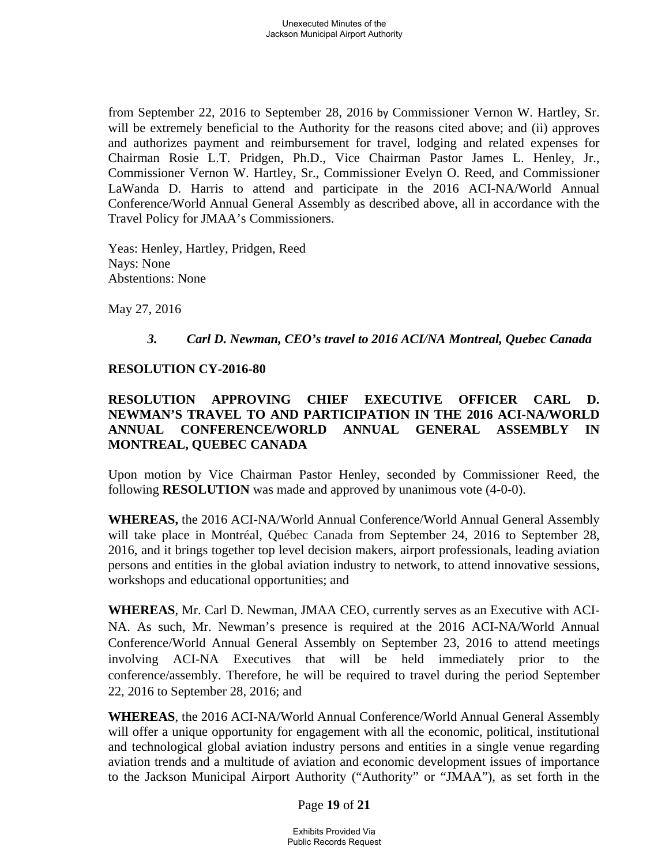from September 22, 2016 to September 28, 2016 by Commissioner Vernon W. Hartley, Sr. will be extremely beneficial to the Authority for the reasons cited above; and (ii) approves and authorizes payment and reimbursement for travel, lodging and related expenses for Chairman Rosie L.T. Pridgen, Ph.D., Vice Chairman Pastor James L. Henley, Jr., Commissioner Vernon W. Hartley, Sr., Commissioner Evelyn O. Reed, and Commissioner LaWanda D. Harris to attend and participate in the 2016 ACI-NA/World Annual Conference/World Annual General Assembly as described above, all in accordance with the Travel Policy for JMAA's Commissioners.

Yeas: Henley, Hartley, Pridgen, Reed Nays: None Abstentions: None

May 27, 2016

### *3. Carl D. Newman, CEO's travel to 2016 ACI/NA Montreal, Quebec Canada*

#### **RESOLUTION CY-2016-80**

### **RESOLUTION APPROVING CHIEF EXECUTIVE OFFICER CARL D. NEWMAN'S TRAVEL TO AND PARTICIPATION IN THE 2016 ACI-NA/WORLD ANNUAL CONFERENCE/WORLD ANNUAL GENERAL ASSEMBLY IN MONTREAL, QUEBEC CANADA**

Upon motion by Vice Chairman Pastor Henley, seconded by Commissioner Reed, the following **RESOLUTION** was made and approved by unanimous vote (4-0-0).

**WHEREAS,** the 2016 ACI-NA/World Annual Conference/World Annual General Assembly will take place in Montréal, Québec Canada from September 24, 2016 to September 28, 2016, and it brings together top level decision makers, airport professionals, leading aviation persons and entities in the global aviation industry to network, to attend innovative sessions, workshops and educational opportunities; and

**WHEREAS**, Mr. Carl D. Newman, JMAA CEO, currently serves as an Executive with ACI-NA. As such, Mr. Newman's presence is required at the 2016 ACI-NA/World Annual Conference/World Annual General Assembly on September 23, 2016 to attend meetings involving ACI-NA Executives that will be held immediately prior to the conference/assembly. Therefore, he will be required to travel during the period September 22, 2016 to September 28, 2016; and

**WHEREAS**, the 2016 ACI-NA/World Annual Conference/World Annual General Assembly will offer a unique opportunity for engagement with all the economic, political, institutional and technological global aviation industry persons and entities in a single venue regarding aviation trends and a multitude of aviation and economic development issues of importance to the Jackson Municipal Airport Authority ("Authority" or "JMAA"), as set forth in the

Page **19** of **21**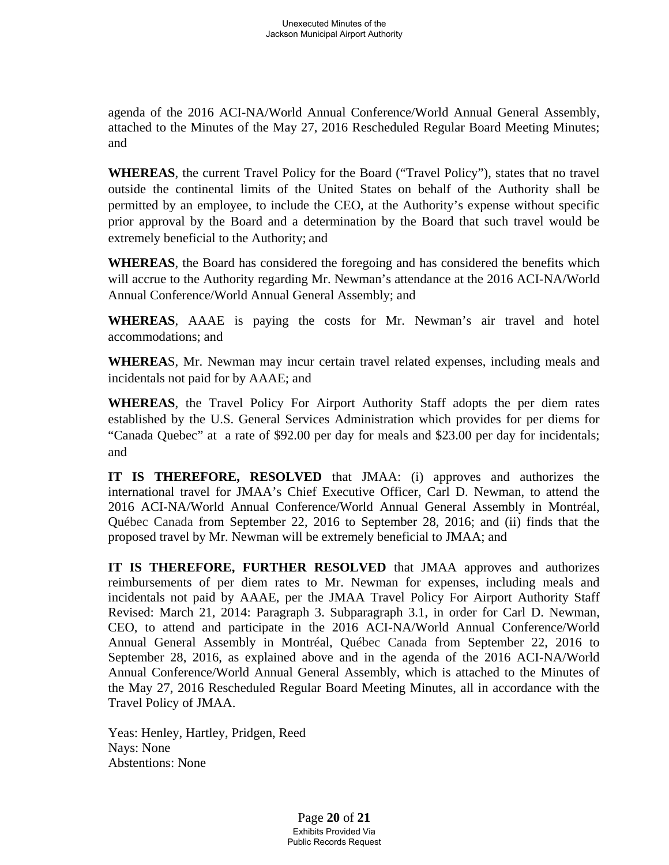agenda of the 2016 ACI-NA/World Annual Conference/World Annual General Assembly, attached to the Minutes of the May 27, 2016 Rescheduled Regular Board Meeting Minutes; and

**WHEREAS**, the current Travel Policy for the Board ("Travel Policy"), states that no travel outside the continental limits of the United States on behalf of the Authority shall be permitted by an employee, to include the CEO, at the Authority's expense without specific prior approval by the Board and a determination by the Board that such travel would be extremely beneficial to the Authority; and

**WHEREAS**, the Board has considered the foregoing and has considered the benefits which will accrue to the Authority regarding Mr. Newman's attendance at the 2016 ACI-NA/World Annual Conference/World Annual General Assembly; and

**WHEREAS**, AAAE is paying the costs for Mr. Newman's air travel and hotel accommodations; and

**WHEREA**S, Mr. Newman may incur certain travel related expenses, including meals and incidentals not paid for by AAAE; and

**WHEREAS**, the Travel Policy For Airport Authority Staff adopts the per diem rates established by the U.S. General Services Administration which provides for per diems for "Canada Quebec" at a rate of \$92.00 per day for meals and \$23.00 per day for incidentals; and

**IT IS THEREFORE, RESOLVED** that JMAA: (i) approves and authorizes the international travel for JMAA's Chief Executive Officer, Carl D. Newman, to attend the 2016 ACI-NA/World Annual Conference/World Annual General Assembly in Montréal, Québec Canada from September 22, 2016 to September 28, 2016; and (ii) finds that the proposed travel by Mr. Newman will be extremely beneficial to JMAA; and

**IT IS THEREFORE, FURTHER RESOLVED** that JMAA approves and authorizes reimbursements of per diem rates to Mr. Newman for expenses, including meals and incidentals not paid by AAAE, per the JMAA Travel Policy For Airport Authority Staff Revised: March 21, 2014: Paragraph 3. Subparagraph 3.1, in order for Carl D. Newman, CEO, to attend and participate in the 2016 ACI-NA/World Annual Conference/World Annual General Assembly in Montréal, Québec Canada from September 22, 2016 to September 28, 2016, as explained above and in the agenda of the 2016 ACI-NA/World Annual Conference/World Annual General Assembly, which is attached to the Minutes of the May 27, 2016 Rescheduled Regular Board Meeting Minutes, all in accordance with the Travel Policy of JMAA.

Yeas: Henley, Hartley, Pridgen, Reed Nays: None Abstentions: None